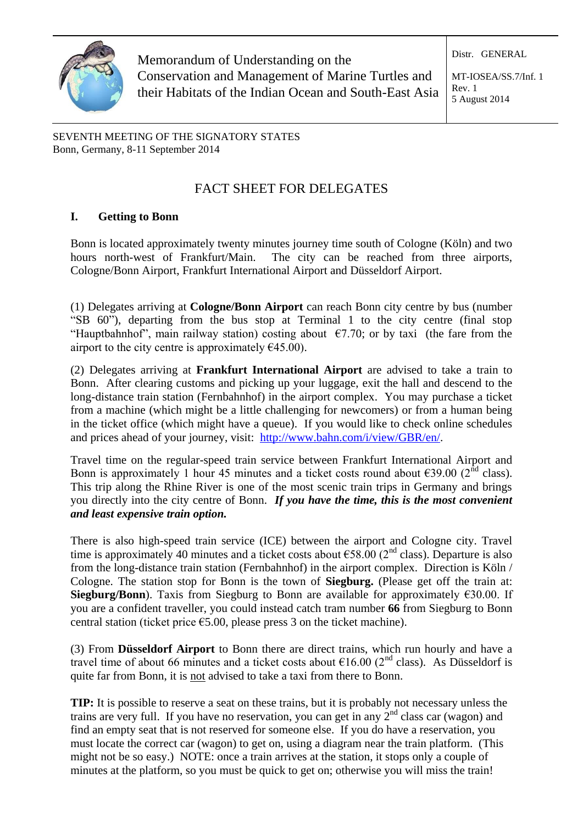

Memorandum of Understanding on the Conservation and Management of Marine Turtles and their Habitats of the Indian Ocean and South-East Asia

MT-IOSEA/SS.7/Inf. 1 Rev. 1 5 August 2014

Distr. GENERAL

SEVENTH MEETING OF THE SIGNATORY STATES Bonn, Germany, 8-11 September 2014

# FACT SHEET FOR DELEGATES

# **I. Getting to Bonn**

Bonn is located approximately twenty minutes journey time south of Cologne (Köln) and two hours north-west of Frankfurt/Main. The city can be reached from three airports, Cologne/Bonn Airport, Frankfurt International Airport and Düsseldorf Airport.

(1) Delegates arriving at **Cologne/Bonn Airport** can reach Bonn city centre by bus (number "SB 60"), departing from the bus stop at Terminal 1 to the city centre (final stop "Hauptbahnhof", main railway station) costing about  $\epsilon$ 7.70; or by taxi (the fare from the airport to the city centre is approximately  $\epsilon$ 45.00).

(2) Delegates arriving at **Frankfurt International Airport** are advised to take a train to Bonn. After clearing customs and picking up your luggage, exit the hall and descend to the long-distance train station (Fernbahnhof) in the airport complex. You may purchase a ticket from a machine (which might be a little challenging for newcomers) or from a human being in the ticket office (which might have a queue). If you would like to check online schedules and prices ahead of your journey, visit: [http://www.bahn.com/i/view/GBR/en/.](http://www.bahn.com/i/view/GBR/en/)

Travel time on the regular-speed train service between Frankfurt International Airport and Bonn is approximately 1 hour 45 minutes and a ticket costs round about  $\epsilon$ 39.00 (2<sup>nd</sup> class). This trip along the Rhine River is one of the most scenic train trips in Germany and brings you directly into the city centre of Bonn. *If you have the time, this is the most convenient and least expensive train option.*

There is also high-speed train service (ICE) between the airport and Cologne city. Travel time is approximately 40 minutes and a ticket costs about  $\epsilon$ 58.00 (2<sup>nd</sup> class). Departure is also from the long-distance train station (Fernbahnhof) in the airport complex. Direction is Köln / Cologne. The station stop for Bonn is the town of **Siegburg.** (Please get off the train at: **Siegburg/Bonn**). Taxis from Siegburg to Bonn are available for approximately  $\epsilon$ 30.00. If you are a confident traveller, you could instead catch tram number **66** from Siegburg to Bonn central station (ticket price  $\epsilon$ 5.00, please press 3 on the ticket machine).

(3) From **Düsseldorf Airport** to Bonn there are direct trains, which run hourly and have a travel time of about 66 minutes and a ticket costs about  $\epsilon$ 16.00 (2<sup>nd</sup> class). As Düsseldorf is quite far from Bonn, it is not advised to take a taxi from there to Bonn.

**TIP:** It is possible to reserve a seat on these trains, but it is probably not necessary unless the trains are very full. If you have no reservation, you can get in any  $2<sup>nd</sup>$  class car (wagon) and find an empty seat that is not reserved for someone else. If you do have a reservation, you must locate the correct car (wagon) to get on, using a diagram near the train platform. (This might not be so easy.) NOTE: once a train arrives at the station, it stops only a couple of minutes at the platform, so you must be quick to get on; otherwise you will miss the train!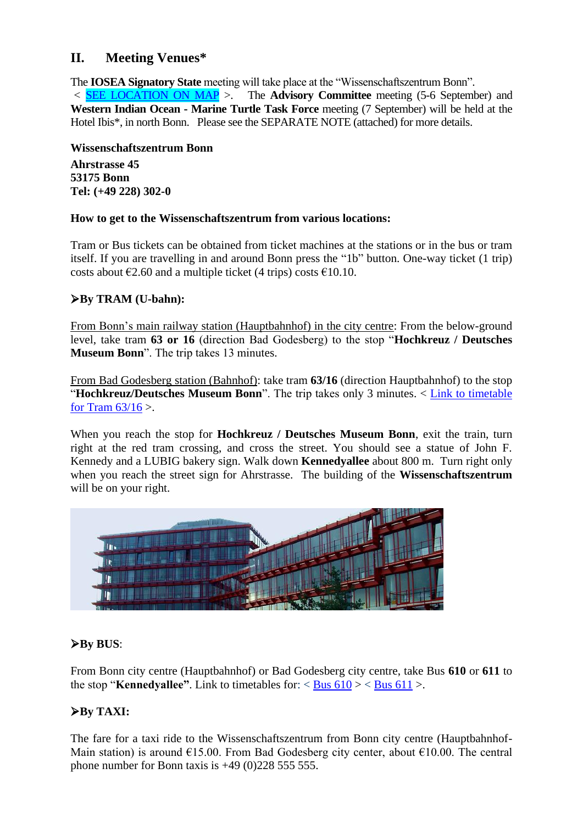# **II. Meeting Venues\***

The **IOSEA Signatory State** meeting will take place at the "Wissenschaftszentrum Bonn".

*<* [SEE LOCATION ON MAP](http://goo.gl/maps/0EBCv) >. The **Advisory Committee** meeting (5-6 September) and **Western Indian Ocean - Marine Turtle Task Force** meeting (7 September) will be held at the Hotel Ibis\*, in north Bonn. Please see the SEPARATE NOTE (attached) for more details.

**Wissenschaftszentrum Bonn**

**Ahrstrasse 45 53175 Bonn Tel: (+49 228) 302-0**

## **How to get to the Wissenschaftszentrum from various locations:**

Tram or Bus tickets can be obtained from ticket machines at the stations or in the bus or tram itself. If you are travelling in and around Bonn press the "1b" button. One-way ticket (1 trip) costs about  $\epsilon$ 2.60 and a multiple ticket (4 trips) costs  $\epsilon$ 10.10.

# **By TRAM (U-bahn):**

From Bonn's main railway station (Hauptbahnhof) in the city centre: From the below-ground level, take tram **63 or 16** (direction Bad Godesberg) to the stop "**Hochkreuz / Deutsches Museum Bonn**". The trip takes 13 minutes.

From Bad Godesberg station (Bahnhof): take tram **63/16** (direction Hauptbahnhof) to the stop "**Hochkreuz/Deutsches Museum Bonn**". The trip takes only 3 minutes. < [Link to timetable](http://www.vrsinfo.de/fileadmin/Dateien/minis/s_Linie_63_16.pdf)  for Tram  $63/16$ .

When you reach the stop for **Hochkreuz / Deutsches Museum Bonn**, exit the train, turn right at the red tram crossing, and cross the street. You should see a statue of John F. Kennedy and a LUBIG bakery sign. Walk down **Kennedyallee** about 800 m. Turn right only when you reach the street sign for Ahrstrasse. The building of the **Wissenschaftszentrum** will be on your right.



# **By BUS**:

From Bonn city centre (Hauptbahnhof) or Bad Godesberg city centre, take Bus **610** or **611** to the stop "**Kennedyallee"**. Link to timetables for:  $\langle$  [Bus 610](http://www.vrsinfo.de/fileadmin/Dateien/minis/b_Linie_610.pdf)  $\rangle$   $\langle$  [Bus 611](http://www.vrsinfo.de/fileadmin/Dateien/minis/b_Linie_611.pdf)  $\rangle$ .

# **By TAXI:**

The fare for a taxi ride to the Wissenschaftszentrum from Bonn city centre (Hauptbahnhof-Main station) is around  $E15.00$ . From Bad Godesberg city center, about  $E10.00$ . The central phone number for Bonn taxis is  $+49$  (0)228 555 555.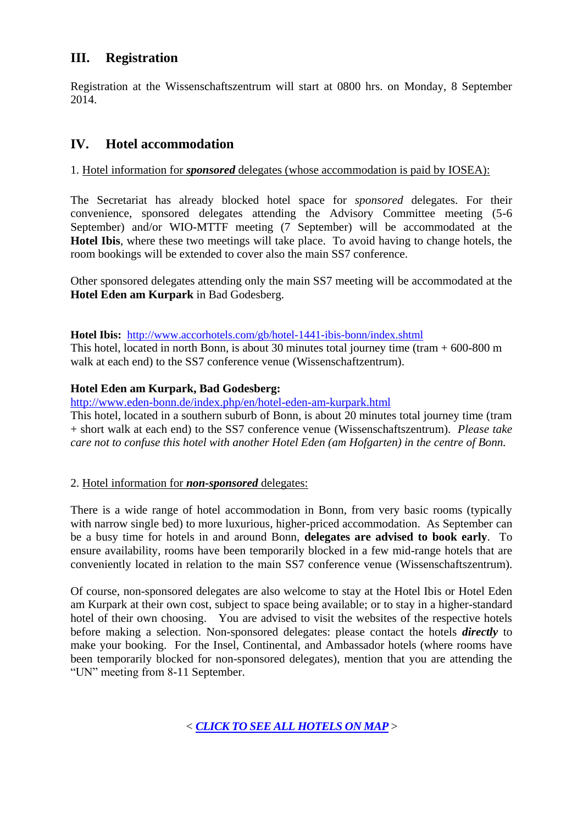# **III. Registration**

Registration at the Wissenschaftszentrum will start at 0800 hrs. on Monday, 8 September 2014.

# **IV. Hotel accommodation**

## 1. Hotel information for *sponsored* delegates (whose accommodation is paid by IOSEA):

The Secretariat has already blocked hotel space for *sponsored* delegates. For their convenience, sponsored delegates attending the Advisory Committee meeting (5-6 September) and/or WIO-MTTF meeting (7 September) will be accommodated at the **Hotel Ibis**, where these two meetings will take place. To avoid having to change hotels, the room bookings will be extended to cover also the main SS7 conference.

Other sponsored delegates attending only the main SS7 meeting will be accommodated at the **Hotel Eden am Kurpark** in Bad Godesberg.

#### **Hotel Ibis:** <http://www.accorhotels.com/gb/hotel-1441-ibis-bonn/index.shtml>

This hotel, located in north Bonn, is about 30 minutes total journey time (tram  $+600-800$  m walk at each end) to the SS7 conference venue (Wissenschaftzentrum).

## **Hotel Eden am Kurpark, Bad Godesberg:**

<http://www.eden-bonn.de/index.php/en/hotel-eden-am-kurpark.html>

This hotel, located in a southern suburb of Bonn, is about 20 minutes total journey time (tram + short walk at each end) to the SS7 conference venue (Wissenschaftszentrum). *Please take care not to confuse this hotel with another Hotel Eden (am Hofgarten) in the centre of Bonn.*

### 2. Hotel information for *non-sponsored* delegates:

There is a wide range of hotel accommodation in Bonn, from very basic rooms (typically with narrow single bed) to more luxurious, higher-priced accommodation. As September can be a busy time for hotels in and around Bonn, **delegates are advised to book early**. To ensure availability, rooms have been temporarily blocked in a few mid-range hotels that are conveniently located in relation to the main SS7 conference venue (Wissenschaftszentrum).

Of course, non-sponsored delegates are also welcome to stay at the Hotel Ibis or Hotel Eden am Kurpark at their own cost, subject to space being available; or to stay in a higher-standard hotel of their own choosing. You are advised to visit the websites of the respective hotels before making a selection. Non-sponsored delegates: please contact the hotels *directly* to make your booking. For the Insel, Continental, and Ambassador hotels (where rooms have been temporarily blocked for non-sponsored delegates), mention that you are attending the "UN" meeting from 8-11 September.

*< [CLICK TO SEE ALL HOTELS ON MAP](http://goo.gl/maps/0EBCv)* >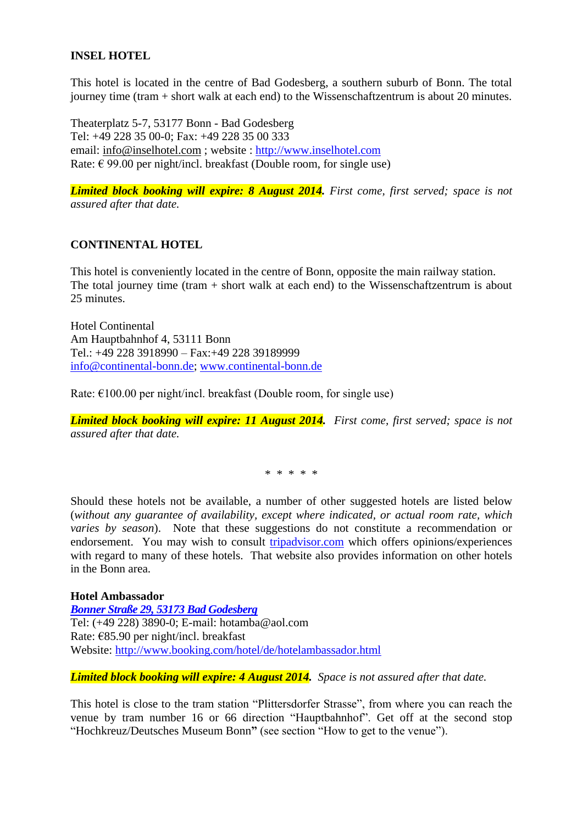## **INSEL HOTEL**

This hotel is located in the centre of Bad Godesberg, a southern suburb of Bonn. The total journey time (tram + short walk at each end) to the Wissenschaftzentrum is about 20 minutes.

Theaterplatz 5-7, 53177 Bonn - Bad Godesberg Tel: +49 228 35 00-0; Fax: +49 228 35 00 333 email: [info@inselhotel.com](mailto:info@inselhotel.com) ; website : [http://www.inselhotel.com](http://www.inselhotel.com/) Rate:  $\epsilon$  99.00 per night/incl. breakfast (Double room, for single use)

*Limited block booking will expire: 8 August 2014. First come, first served; space is not assured after that date.*

### **CONTINENTAL HOTEL**

This hotel is conveniently located in the centre of Bonn, opposite the main railway station. The total journey time (tram  $+$  short walk at each end) to the Wissenschaftzentrum is about 25 minutes.

Hotel Continental Am Hauptbahnhof 4, 53111 Bonn Tel.: +49 228 3918990 – Fax:+49 228 39189999 [info@continental-bonn.de;](mailto:info@continental-bonn.de) [www.continental-bonn.de](http://www.continental-bonn.de/)

Rate:  $\epsilon$ 100.00 per night/incl. breakfast (Double room, for single use)

*Limited block booking will expire: 11 August 2014. First come, first served; space is not assured after that date.*

\* \* \* \* \*

Should these hotels not be available, a number of other suggested hotels are listed below (*without any guarantee of availability, except where indicated, or actual room rate, which varies by season*). Note that these suggestions do not constitute a recommendation or endorsement. You may wish to consult [tripadvisor.com](http://www.tripadvisor.com/) which offers opinions/experiences with regard to many of these hotels. That website also provides information on other hotels in the Bonn area.

**Hotel Ambassador** *Bonner Straße 29, 53173 Bad Godesberg* Tel: (+49 228) 3890-0; E-mail: [hotamba@aol.com](mailto:hotamba@aol.com) Rate: €85.90 per night/incl. breakfast Website:<http://www.booking.com/hotel/de/hotelambassador.html>

*Limited block booking will expire: 4 August 2014. Space is not assured after that date.*

This hotel is close to the tram station "Plittersdorfer Strasse", from where you can reach the venue by tram number 16 or 66 direction "Hauptbahnhof". Get off at the second stop "Hochkreuz/Deutsches Museum Bonn**"** (see section "How to get to the venue").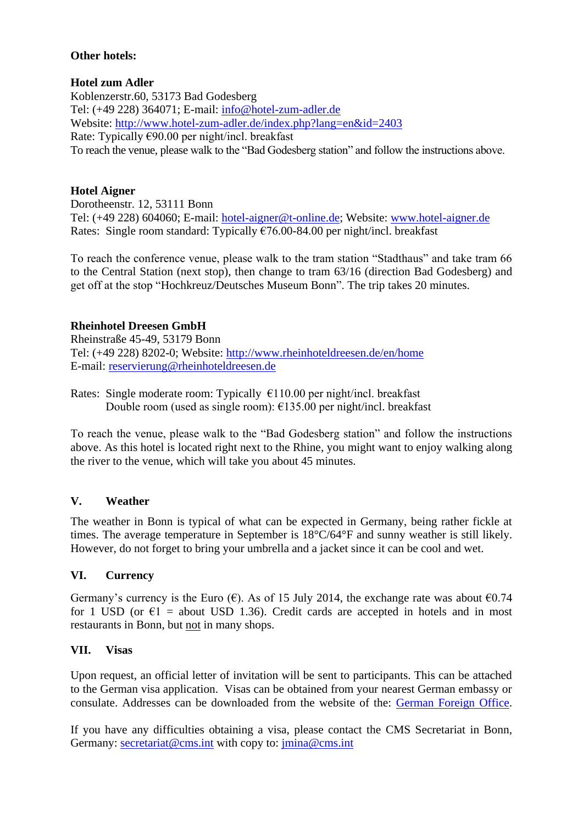## **Other hotels:**

## **Hotel zum Adler**

Koblenzerstr.60, 53173 Bad Godesberg [Tel: \(+49 228\) 364071;](tel:0228/364071) E-mail: [info@hotel-zum-adler.de](mailto:info@hotel-zum-adler.de) Website:<http://www.hotel-zum-adler.de/index.php?lang=en&id=2403> Rate: Typically €90.00 per night/incl. breakfast To reach the venue, please walk to the "Bad Godesberg station" and follow the instructions above.

# **Hotel Aigner**

Dorotheenstr. 12, 53111 Bonn Tel: (+49 228) 604060; E-mail: [hotel-aigner@t-online.de;](mailto:hotel-aigner@t-online.de) Website: [www.hotel-aigner.de](http://www.hotel-aigner.de/) Rates: Single room standard: Typically  $\epsilon$ 76.00-84.00 per night/incl. breakfast

To reach the conference venue, please walk to the tram station "Stadthaus" and take tram 66 to the Central Station (next stop), then change to tram 63/16 (direction Bad Godesberg) and get off at the stop "Hochkreuz/Deutsches Museum Bonn". The trip takes 20 minutes.

# **Rheinhotel Dreesen GmbH**

Rheinstraße 45-49, 53179 Bonn Tel: (+49 228) 8202-0; Website:<http://www.rheinhoteldreesen.de/en/home> E-mail: [reservierung@rheinhoteldreesen.de](mailto:reservierung@rheinhoteldreesen.de)

Rates: Single moderate room: Typically  $\epsilon$ 110.00 per night/incl. breakfast Double room (used as single room): €135.00 per night/incl. breakfast

To reach the venue, please walk to the "Bad Godesberg station" and follow the instructions above. As this hotel is located right next to the Rhine, you might want to enjoy walking along the river to the venue, which will take you about 45 minutes.

### **V. Weather**

The weather in Bonn is typical of what can be expected in Germany, being rather fickle at times. The average temperature in September is  $18^{\circ}C/64^{\circ}F$  and sunny weather is still likely. However, do not forget to bring your umbrella and a jacket since it can be cool and wet.

### **VI. Currency**

Germany's currency is the Euro ( $\epsilon$ ). As of 15 July 2014, the exchange rate was about  $\epsilon$ 0.74 for 1 USD (or  $\epsilon$ 1 = about USD 1.36). Credit cards are accepted in hotels and in most restaurants in Bonn, but not in many shops.

### **VII. Visas**

Upon request, an official letter of invitation will be sent to participants. This can be attached to the German visa application. Visas can be obtained from your nearest German embassy or consulate. Addresses can be downloaded from the website of the: [German Foreign Office.](http://www.auswaertiges-amt.de/EN/EinreiseUndAufenthalt/Visabestimmungen_node.html)

If you have any difficulties obtaining a visa, please contact the CMS Secretariat in Bonn, Germany: [secretariat@cms.int](mailto:secretariat@cms.int) with copy to: [jmina@cms.int](mailto:jmina@cms.int)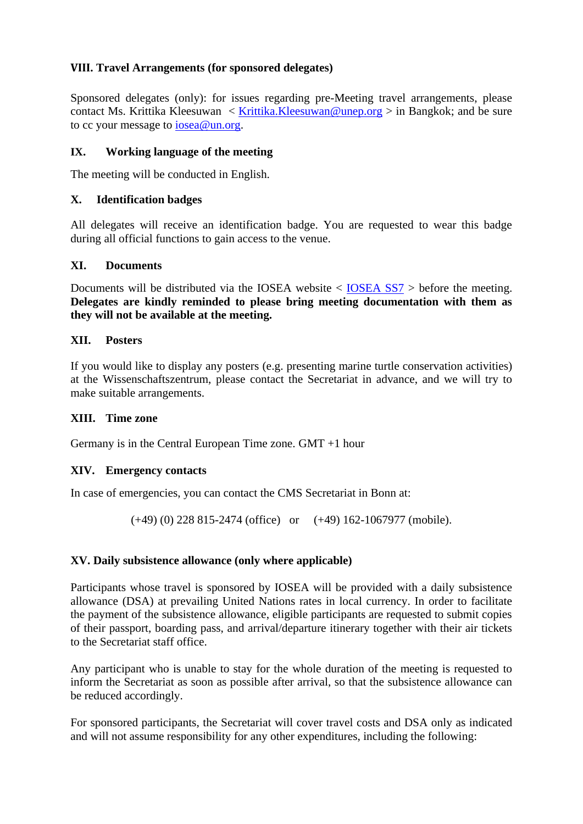# **VIII. Travel Arrangements (for sponsored delegates)**

Sponsored delegates (only): for issues regarding pre-Meeting travel arrangements, please contact Ms. Krittika Kleesuwan < [Krittika.Kleesuwan@unep.org](mailto:Krittika.Kleesuwan@unep.org) > in Bangkok; and be sure to cc your message to [iosea@un.org.](mailto:iosea@un.org)

# **IX. Working language of the meeting**

The meeting will be conducted in English.

## **X. Identification badges**

All delegates will receive an identification badge. You are requested to wear this badge during all official functions to gain access to the venue.

## **XI. Documents**

Documents will be distributed via the IOSEA website < [IOSEA SS7](http://ioseaturtles.org/iosea_meeting.php?id=17) > before the meeting. **Delegates are kindly reminded to please bring meeting documentation with them as they will not be available at the meeting.**

## **XII. Posters**

If you would like to display any posters (e.g. presenting marine turtle conservation activities) at the Wissenschaftszentrum, please contact the Secretariat in advance, and we will try to make suitable arrangements.

### **XIII. Time zone**

Germany is in the Central European Time zone. GMT +1 hour

### **XIV. Emergency contacts**

In case of emergencies, you can contact the CMS Secretariat in Bonn at:

(+49) (0) 228 815-2474 (office) or (+49) 162-1067977 (mobile).

# **XV. Daily subsistence allowance (only where applicable)**

Participants whose travel is sponsored by IOSEA will be provided with a daily subsistence allowance (DSA) at prevailing United Nations rates in local currency. In order to facilitate the payment of the subsistence allowance, eligible participants are requested to submit copies of their passport, boarding pass, and arrival/departure itinerary together with their air tickets to the Secretariat staff office.

Any participant who is unable to stay for the whole duration of the meeting is requested to inform the Secretariat as soon as possible after arrival, so that the subsistence allowance can be reduced accordingly.

For sponsored participants, the Secretariat will cover travel costs and DSA only as indicated and will not assume responsibility for any other expenditures, including the following: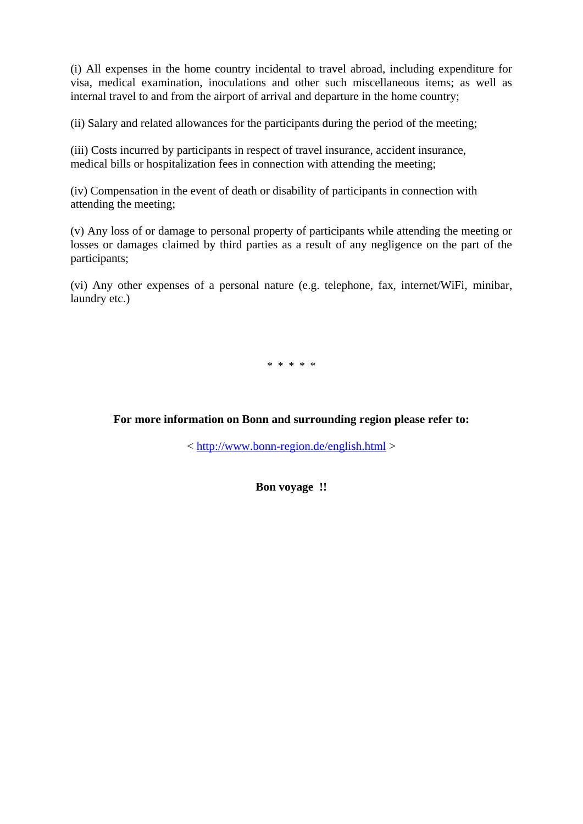(i) All expenses in the home country incidental to travel abroad, including expenditure for visa, medical examination, inoculations and other such miscellaneous items; as well as internal travel to and from the airport of arrival and departure in the home country;

(ii) Salary and related allowances for the participants during the period of the meeting;

(iii) Costs incurred by participants in respect of travel insurance, accident insurance, medical bills or hospitalization fees in connection with attending the meeting;

(iv) Compensation in the event of death or disability of participants in connection with attending the meeting;

(v) Any loss of or damage to personal property of participants while attending the meeting or losses or damages claimed by third parties as a result of any negligence on the part of the participants;

(vi) Any other expenses of a personal nature (e.g. telephone, fax, internet/WiFi, minibar, laundry etc.)

\* \* \* \* \*

**For more information on Bonn and surrounding region please refer to:**

<<http://www.bonn-region.de/english.html> >

**Bon voyage !!**